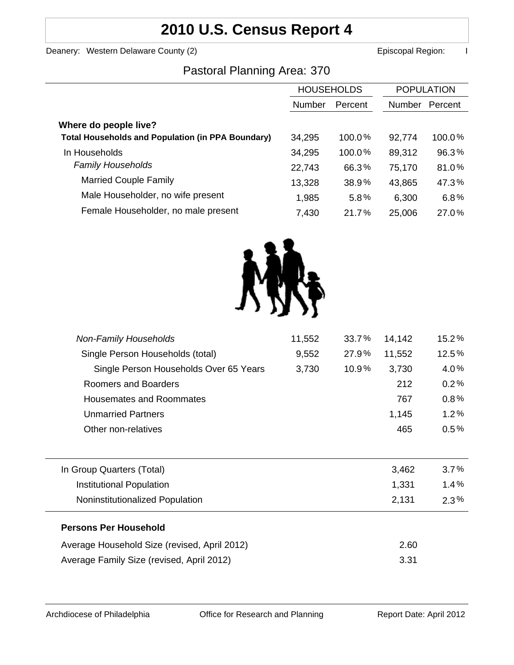# **2010 U.S. Census Report 4**

Deanery: Western Delaware County (2) **Example 2 Example 2 According County County County County County County County County County County County County County County County County County County County County County County** 

### Pastoral Planning Area: 370

|                                                          | <b>HOUSEHOLDS</b> |         | <b>POPULATION</b> |         |
|----------------------------------------------------------|-------------------|---------|-------------------|---------|
|                                                          | Number            | Percent | Number            | Percent |
| Where do people live?                                    |                   |         |                   |         |
| <b>Total Households and Population (in PPA Boundary)</b> | 34,295            | 100.0%  | 92,774            | 100.0%  |
| In Households                                            | 34,295            | 100.0%  | 89,312            | 96.3%   |
| <b>Family Households</b>                                 | 22,743            | 66.3%   | 75,170            | 81.0%   |
| <b>Married Couple Family</b>                             | 13,328            | 38.9%   | 43,865            | 47.3%   |
| Male Householder, no wife present                        | 1,985             | 5.8%    | 6,300             | 6.8%    |
| Female Householder, no male present                      | 7,430             | 21.7%   | 25,006            | 27.0%   |



| <b>Non-Family Households</b>                 | 11,552 | 33.7% | 14,142 | 15.2%   |
|----------------------------------------------|--------|-------|--------|---------|
| Single Person Households (total)             | 9,552  | 27.9% | 11,552 | 12.5%   |
| Single Person Households Over 65 Years       | 3,730  | 10.9% | 3,730  | 4.0%    |
| Roomers and Boarders                         |        |       | 212    | 0.2%    |
| <b>Housemates and Roommates</b>              |        |       | 767    | 0.8%    |
| <b>Unmarried Partners</b>                    |        |       | 1,145  | 1.2%    |
| Other non-relatives                          |        |       | 465    | $0.5\%$ |
|                                              |        |       |        |         |
| In Group Quarters (Total)                    |        |       | 3,462  | 3.7%    |
| <b>Institutional Population</b>              |        |       | 1,331  | 1.4%    |
| Noninstitutionalized Population              |        |       | 2,131  | $2.3\%$ |
| <b>Persons Per Household</b>                 |        |       |        |         |
| Average Household Size (revised, April 2012) |        |       | 2.60   |         |
| Average Family Size (revised, April 2012)    |        |       | 3.31   |         |
|                                              |        |       |        |         |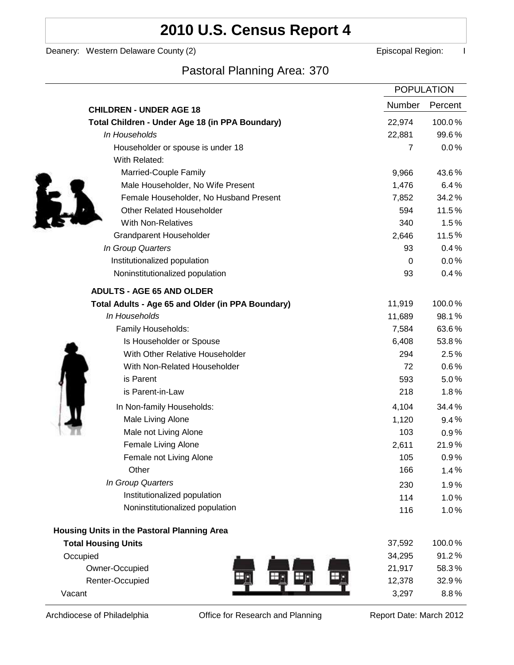# **2010 U.S. Census Report 4**

Deanery: Western Delaware County (2) Deanery: Western Delaware County (2)

## Pastoral Planning Area: 370

|                                                   |                | <b>POPULATION</b> |
|---------------------------------------------------|----------------|-------------------|
| <b>CHILDREN - UNDER AGE 18</b>                    | Number         | Percent           |
| Total Children - Under Age 18 (in PPA Boundary)   | 22,974         | 100.0%            |
| In Households                                     | 22,881         | 99.6%             |
| Householder or spouse is under 18                 | $\overline{7}$ | 0.0%              |
| With Related:                                     |                |                   |
| Married-Couple Family                             | 9,966          | 43.6%             |
| Male Householder, No Wife Present                 | 1,476          | 6.4%              |
| Female Householder, No Husband Present            | 7,852          | 34.2%             |
| <b>Other Related Householder</b>                  | 594            | 11.5%             |
| <b>With Non-Relatives</b>                         | 340            | 1.5%              |
| <b>Grandparent Householder</b>                    | 2,646          | 11.5%             |
| In Group Quarters                                 | 93             | 0.4%              |
| Institutionalized population                      | 0              | 0.0%              |
| Noninstitutionalized population                   | 93             | 0.4%              |
| <b>ADULTS - AGE 65 AND OLDER</b>                  |                |                   |
| Total Adults - Age 65 and Older (in PPA Boundary) | 11,919         | 100.0%            |
| In Households                                     | 11,689         | 98.1%             |
| Family Households:                                | 7,584          | 63.6%             |
| Is Householder or Spouse                          | 6,408          | 53.8%             |
| With Other Relative Householder                   | 294            | 2.5%              |
| With Non-Related Householder                      | 72             | $0.6\%$           |
| is Parent                                         | 593            | 5.0%              |
| is Parent-in-Law                                  | 218            | 1.8%              |
| In Non-family Households:                         | 4,104          | 34.4%             |
| Male Living Alone                                 | 1,120          | 9.4%              |
| Male not Living Alone                             | 103            | $0.9\%$           |
| Female Living Alone                               | 2,611          | 21.9%             |
| Female not Living Alone                           | 105            | 0.9%              |
| Other                                             | 166            | 1.4%              |
| In Group Quarters                                 | 230            | 1.9%              |
| Institutionalized population                      | 114            | 1.0%              |
| Noninstitutionalized population                   | 116            | 1.0%              |
| Housing Units in the Pastoral Planning Area       |                |                   |
| <b>Total Housing Units</b>                        | 37,592         | 100.0%            |
| Occupied                                          | 34,295         | 91.2%             |
| Owner-Occupied                                    | 21,917         | 58.3%             |
| Renter-Occupied                                   | 12,378         | 32.9%             |
| Vacant                                            | 3,297          | 8.8%              |

Archdiocese of Philadelphia **Office for Research and Planning** Report Date: March 2012